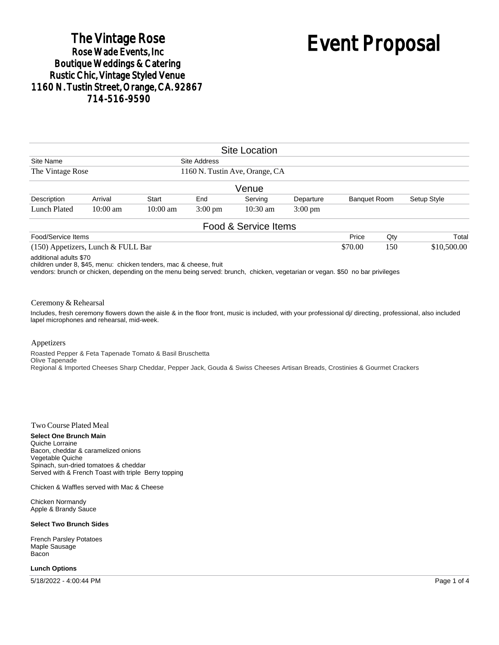## The Vintage Rose<br>Rose Wade Events, Inc **Boutique Weddings & Catering Rustic Chic, Vintage Styled Venue** 1160 N. Tustin Street, Orange, CA. 92867 714-516-9590

# Event Proposal

|                                      |            |            |                                                | <b>Site Location</b> |                   |                     |     |             |             |
|--------------------------------------|------------|------------|------------------------------------------------|----------------------|-------------------|---------------------|-----|-------------|-------------|
| Site Name<br>The Vintage Rose        |            |            | Site Address<br>1160 N. Tustin Ave, Orange, CA |                      |                   |                     |     |             |             |
|                                      |            |            |                                                |                      |                   |                     |     |             |             |
|                                      |            |            |                                                | Venue                |                   |                     |     |             |             |
| Description                          | Arrival    | Start      | End                                            | Serving              | Departure         | <b>Banquet Room</b> |     | Setup Style |             |
| Lunch Plated                         | $10:00$ am | $10:00$ am | $3:00 \text{ pm}$                              | $10:30 \text{ am}$   | $3:00 \text{ pm}$ |                     |     |             |             |
|                                      |            |            |                                                | Food & Service Items |                   |                     |     |             |             |
| Food/Service Items                   |            |            |                                                |                      |                   | Price               | Qty |             | Total       |
| $(150)$ Appetizers, Lunch & FULL Bar |            |            |                                                |                      |                   | \$70.00             | 150 |             | \$10,500.00 |

additional adults \$70

children under 8, \$45, menu: chicken tenders, mac & cheese, fruit

vendors: brunch or chicken, depending on the menu being served: brunch, chicken, vegetarian or vegan. \$50 no bar privileges

#### Ceremony & Rehearsal

Includes, fresh ceremony flowers down the aisle & in the floor front, music is included, with your professional dj/ directing, professional, also included lapel microphones and rehearsal, mid-week.

#### Appetizers

Roasted Pepper & Feta Tapenade Tomato & Basil Bruschetta Olive Tapenade Regional & Imported Cheeses Sharp Cheddar, Pepper Jack, Gouda & Swiss Cheeses Artisan Breads, Crostinies & Gourmet Crackers

#### Two Course Plated Meal

**Select One Brunch Main** Quiche Lorraine Bacon, cheddar & caramelized onions Vegetable Quiche Spinach, sun-dried tomatoes & cheddar Served with & French Toast with triple Berry topping

Chicken & Waffles served with Mac & Cheese

Chicken Normandy Apple & Brandy Sauce

#### **Select Two Brunch Sides**

French Parsley Potatoes Maple Sausage Bacon

#### **Lunch Options**

5/18/2022 - 4:00:44 PM Page 1 of 4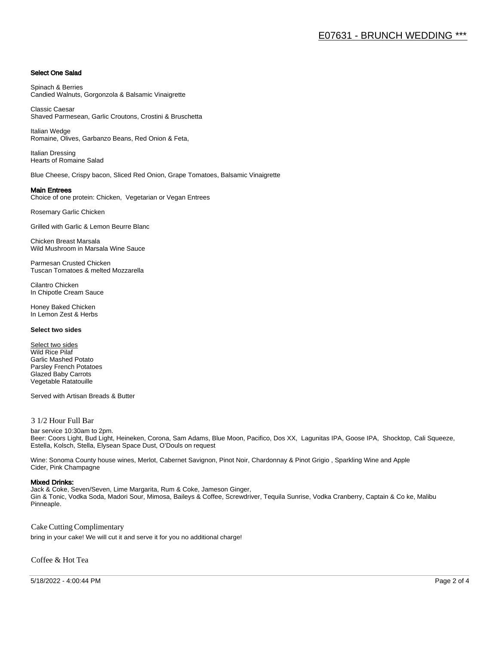#### Select One Salad

Spinach & Berries Candied Walnuts, Gorgonzola & Balsamic Vinaigrette

Classic Caesar Shaved Parmesean, Garlic Croutons, Crostini & Bruschetta

Italian Wedge Romaine, Olives, Garbanzo Beans, Red Onion & Feta,

Italian Dressing Hearts of Romaine Salad

Blue Cheese, Crispy bacon, Sliced Red Onion, Grape Tomatoes, Balsamic Vinaigrette

#### Main Entrees

Choice of one protein: Chicken, Vegetarian or Vegan Entrees

Rosemary Garlic Chicken

Grilled with Garlic & Lemon Beurre Blanc

Chicken Breast Marsala Wild Mushroom in Marsala Wine Sauce

Parmesan Crusted Chicken Tuscan Tomatoes & melted Mozzarella

Cilantro Chicken In Chipotle Cream Sauce

Honey Baked Chicken In Lemon Zest & Herbs

#### **Select two sides**

Select two sides Wild Rice Pilaf Garlic Mashed Potato Parsley French Potatoes Glazed Baby Carrots Vegetable Ratatouille

Served with Artisan Breads & Butter

#### 3 1/2 Hour Full Bar

bar service 10:30am to 2pm. Beer: Coors Light, Bud Light, Heineken, Corona, Sam Adams, Blue Moon, Pacifico, Dos XX, Lagunitas IPA, Goose IPA, Shocktop, Cali Squeeze, Estella, Kolsch, Stella, Elysean Space Dust, O'Douls on request

Wine: Sonoma County house wines, Merlot, Cabernet Savignon, Pinot Noir, Chardonnay & Pinot Grigio , Sparkling Wine and Apple Cider, Pink Champagne

#### Mixed Drinks:

Jack & Coke, Seven/Seven, Lime Margarita, Rum & Coke, Jameson Ginger, Gin & Tonic, Vodka Soda, Madori Sour, Mimosa, Baileys & Coffee, Screwdriver, Tequila Sunrise, Vodka Cranberry, Captain & Co ke, Malibu Pinneaple.

Cake Cutting Complimentary

bring in your cake! We will cut it and serve it for you no additional charge!

Coffee & Hot Tea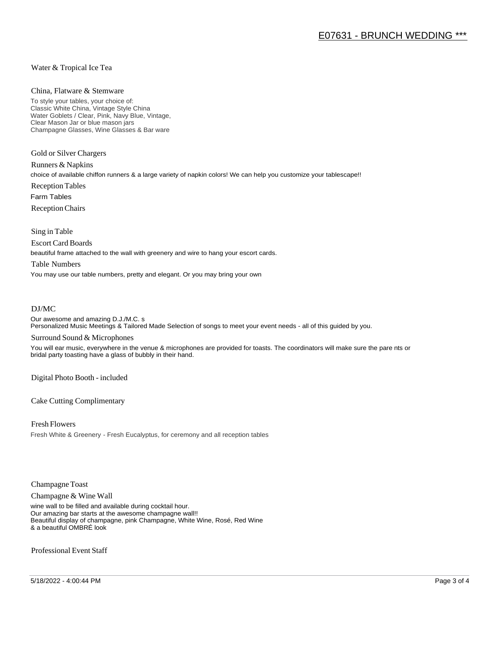#### Water & Tropical Ice Tea

#### China, Flatware & Stemware

To style your tables, your choice of: Classic White China, Vintage Style China Water Goblets / Clear, Pink, Navy Blue, Vintage, Clear Mason Jar or blue mason jars Champagne Glasses, Wine Glasses & Bar ware

Gold or Silver Chargers

Runners & Napkins choice of available chiffon runners & a large variety of napkin colors! We can help you customize your tablescape!! Reception Tables Farm Tables Reception Chairs

Sing in Table

Escort Card Boards

beautiful frame attached to the wall with greenery and wire to hang your escort cards.

#### Table Numbers

You may use our table numbers, pretty and elegant. Or you may bring your own

#### DJ/MC

Our awesome and amazing D.J./M.C. s Personalized Music Meetings & Tailored Made Selection of songs to meet your event needs - all of this guided by you.

#### Surround Sound & Microphones

You will ear music, everywhere in the venue & microphones are provided for toasts. The coordinators will make sure the pare nts or bridal party toasting have a glass of bubbly in their hand.

Digital Photo Booth - included

Cake Cutting Complimentary

Fresh Flowers Fresh White & Greenery - Fresh Eucalyptus, for ceremony and all reception tables

Champagne Toast

Champagne & Wine Wall

wine wall to be filled and available during cocktail hour. Our amazing bar starts at the awesome champagne wall!! Beautiful display of champagne, pink Champagne, White Wine, Rosé, Red Wine & a beautiful OMBRÉ look

Professional Event Staff